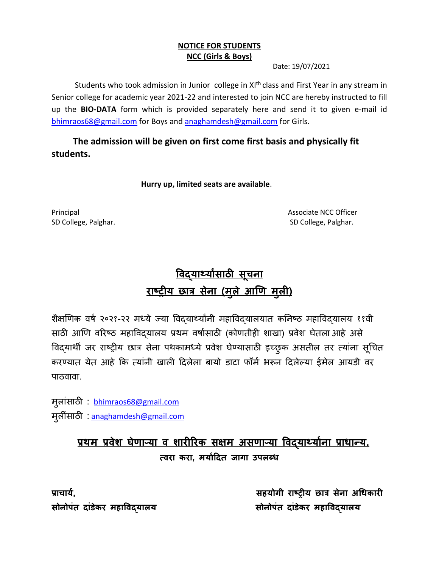#### **NOTICE FOR STUDENTS NCC (Girls & Boys)**

Date: 19/07/2021

Students who took admission in Junior college in XI<sup>th</sup> class and First Year in any stream in Senior college for academic year 2021-22 and interested to join NCC are hereby instructed to fill up the **BIO-DATA** form which is provided separately here and send it to given e-mail id [bhimraos68@gmail.com](mailto:bhimraos68@gmail.com) for Boys an[d anaghamdesh@gmail.com](mailto:anaghamdesh@gmail.com) for Girls.

 **The admission will be given on first come first basis and physically fit students.**

 **Hurry up, limited seats are available**.

Principal **Associate NCC Officer** SD College, Palghar. SD College, Palghar.

# **विद्यार्थयाांसाठी सू चना राष्ट्रीय छात्र सेना (मल ु े आणि म ु ली)**

शैक्षणिक वर्ष २०२१-२२ मध्ये ज्या विदयार्थ्यांनी महाविद्यालयात कनिष्ठ महाविद्यालय ११वी साठी आणि वरिष्ठ महाविदयालय प्रथम वर्षासाठी (कोणतीही शाखा) प्रवेश घेतला आहे असे विद्यार्थी जर राष्ट्रीय छात्र सेना पथकामध्ये प्रवेश घेण्यासाठी इच्छुक असतील तर त्यांना सूचित करण्यात येत आहे कि त्यांनी खाली दिलेला बायो डाटा फॉर्म भरून दिलेल्या ईमेल आयडी वर पाठवावा.

मुलांसाठी : [bhimraos68@gmail.com](mailto:bhimraos68@gmail.com) मुलींसाठी : [anaghamdesh@gmail.com](mailto:anaghamdesh@gmail.com)

## <u>प्रथम प्रवेश घेणाऱ्या व शारीरिक सक्षम असणाऱ्या विदयार्थ्यांना प्राधान्य.</u> **त्िरा करा, मयाादित जागा उपलब्ध**

**प्राचाया, सहयोगी राष्ट्रीय छात्र सेना अधधकारी सोनोपंत िांडेकर महाविद्यालय सोनोपंत िांडेकर महाविद्यालय**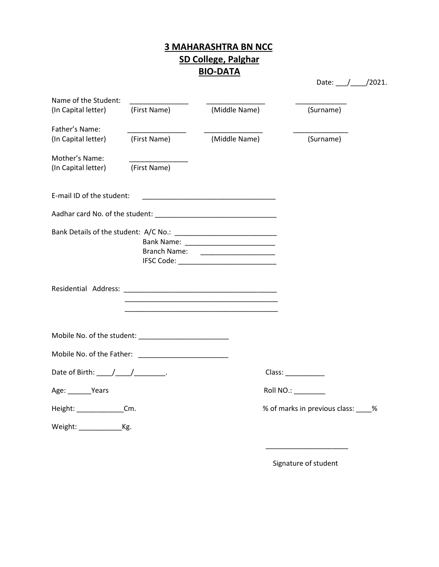## **3 MAHARASHTRA BN NCC SD College, Palghar BIO-DATA**

| Name of the Student:                               |                                                        |                                                                                                                       |                                      |
|----------------------------------------------------|--------------------------------------------------------|-----------------------------------------------------------------------------------------------------------------------|--------------------------------------|
| (In Capital letter)                                | (First Name)                                           | (Middle Name)                                                                                                         | (Surname)                            |
| Father's Name:                                     |                                                        |                                                                                                                       |                                      |
| (In Capital letter)                                | (First Name)                                           | (Middle Name)                                                                                                         | (Surname)                            |
| Mother's Name:                                     |                                                        |                                                                                                                       |                                      |
| (In Capital letter)                                | (First Name)                                           |                                                                                                                       |                                      |
| E-mail ID of the student:                          |                                                        | <u> 1989 - Johann Barbara, martxa alemaniar a</u>                                                                     |                                      |
|                                                    |                                                        |                                                                                                                       |                                      |
|                                                    |                                                        |                                                                                                                       |                                      |
|                                                    |                                                        | <u> 1989 - Johann John Stone, markin film yn y brening yn y brening yn y brening yn y brening yn y brening yn y b</u> |                                      |
|                                                    | Mobile No. of the student: ___________________________ |                                                                                                                       |                                      |
|                                                    |                                                        |                                                                                                                       |                                      |
| Date of Birth: $\frac{1}{\sqrt{1-\frac{1}{2}}}}$ . |                                                        |                                                                                                                       |                                      |
| Age: ______Years                                   |                                                        |                                                                                                                       | Roll NO.: ________                   |
| Height: Cm.                                        |                                                        |                                                                                                                       | % of marks in previous class: ____ % |
|                                                    |                                                        |                                                                                                                       |                                      |

 $\overline{\phantom{a}}$  , and the contract of the contract of the contract of the contract of the contract of the contract of the contract of the contract of the contract of the contract of the contract of the contract of the contrac

Signature of student

Date: 1.1.12021.